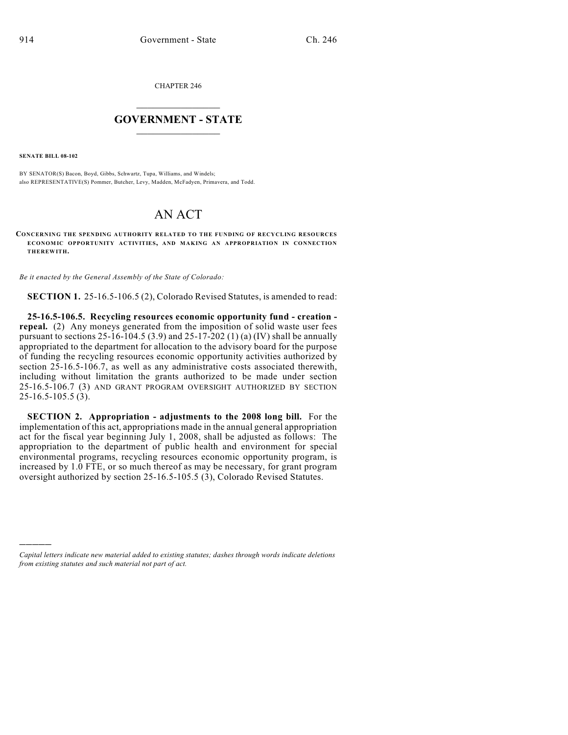CHAPTER 246

## $\mathcal{L}_\text{max}$  . The set of the set of the set of the set of the set of the set of the set of the set of the set of the set of the set of the set of the set of the set of the set of the set of the set of the set of the set **GOVERNMENT - STATE**  $\_$

**SENATE BILL 08-102**

)))))

BY SENATOR(S) Bacon, Boyd, Gibbs, Schwartz, Tupa, Williams, and Windels; also REPRESENTATIVE(S) Pommer, Butcher, Levy, Madden, McFadyen, Primavera, and Todd.

## AN ACT

**CONCERNING THE SPENDING AUTHORITY RELATED TO THE FUNDING OF RECYCLING RESOURCES ECONOM IC OPPORTUNITY ACTIVITIES, AND MAKING AN APPROPRIATION IN CONNECTION THEREWITH.**

*Be it enacted by the General Assembly of the State of Colorado:*

**SECTION 1.** 25-16.5-106.5 (2), Colorado Revised Statutes, is amended to read:

**25-16.5-106.5. Recycling resources economic opportunity fund - creation repeal.** (2) Any moneys generated from the imposition of solid waste user fees pursuant to sections 25-16-104.5 (3.9) and 25-17-202 (1) (a) (IV) shall be annually appropriated to the department for allocation to the advisory board for the purpose of funding the recycling resources economic opportunity activities authorized by section 25-16.5-106.7, as well as any administrative costs associated therewith, including without limitation the grants authorized to be made under section 25-16.5-106.7 (3) AND GRANT PROGRAM OVERSIGHT AUTHORIZED BY SECTION 25-16.5-105.5 (3).

**SECTION 2. Appropriation - adjustments to the 2008 long bill.** For the implementation of this act, appropriations made in the annual general appropriation act for the fiscal year beginning July 1, 2008, shall be adjusted as follows: The appropriation to the department of public health and environment for special environmental programs, recycling resources economic opportunity program, is increased by 1.0 FTE, or so much thereof as may be necessary, for grant program oversight authorized by section 25-16.5-105.5 (3), Colorado Revised Statutes.

*Capital letters indicate new material added to existing statutes; dashes through words indicate deletions from existing statutes and such material not part of act.*